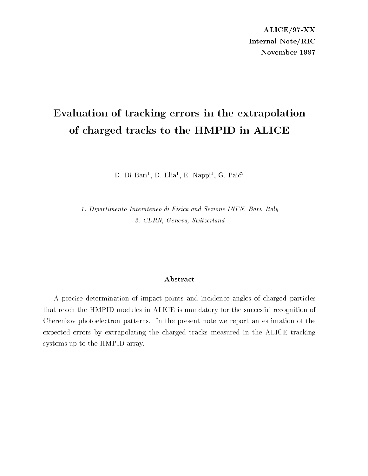ALICE/97-XX Internal Note/RIC November 1997

# Evaluation of tracking errors in the extrapolation of charged tracks to the HMPID in ALICE

D. Di Bari", D. Elia", E. Nappi", G. Paic"

1. Dipartimento Interateneo di Fisica and Sezione INFN, Bari, Italy 2. CERN, Geneva, Switzerland

#### Abstract

A precise determination of impact points and incidence angles of charged particles that reach the HMPID modules in ALICE is mandatory for the succesful recognition of Cherenkov photoelectron patterns. In the present note we report an estimation of the expected errors by extrapolating the charged tracks measured in the ALICE tracking systems up to the HMPID array.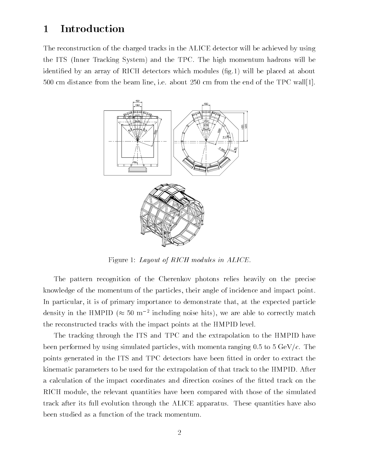## 1 Introduction

The reconstruction of the charged tracks in the ALICE detector will be achieved by using the ITS (Inner Tracking System) and the TPC. The high momentum hadrons will be identied by an array of RICH detectors which modules (g.1) will be placed at about 500 cm distance from the beam line, i.e. about 250 cm from the end of the TPC wall[1].



Figure 1: Layout of RICH modules in ALICE.

The pattern recognition of the Cherenkov photons relies heavily on the precise knowledge of the momentum of the particles, their angle of incidence and impact point. In particular, it is of primary importance to demonstrate that, at the expected particle density in the HMPID ( $\approx$  50 m  $^2$  including noise hits), we are able to correctly match the reconstructed tracks with the impact points at the HMPID level.

The tracking through the ITS and TPC and the extrapolation to the HMPID have been performed by using simulated particles, with momenta ranging  $0.5$  to  $5 \text{ GeV}/c$ . The points generated in the ITS and TPC detectors have been fitted in order to extract the kinematic parameters to be used for the extrapolation of that track to the HMPID. After a calculation of the impact coordinates and direction cosines of the fitted track on the RICH module, the relevant quantities have been compared with those of the simulated track after its full evolution through the ALICE apparatus. These quantities have also been studied as a function of the track momentum.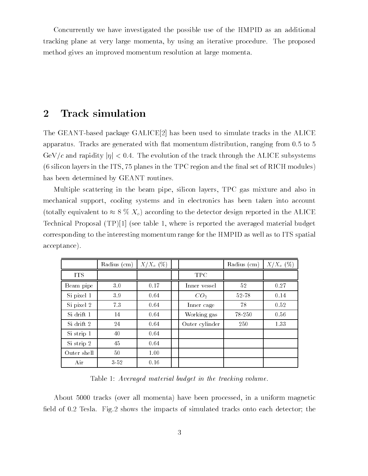Concurrently we have investigated the possible use of the HMPID as an additional tracking plane at very large momenta, by using an iterative procedure. The proposed method gives an improved momentum resolution at large momenta.

## 2 Track simulation

The GEANT-based package GALICE[2] has been used to simulate tracks in the ALICE apparatus. Tracks are generated with 
at momentum distribution, ranging from 0.5 to 5 GeV/c and rapidity  $|\eta| < 0.4$ . The evolution of the track through the ALICE subsystems  $(6 \text{ silicon layers in the ITS}, 75 \text{ planes in the TPC region and the final set of RICH modules})$ has been determined by GEANT routines.

Multiple scattering in the beam pipe, silicon layers, TPC gas mixture and also in mechanical support, cooling systems and in electronics has been taken into account (totally equivalent to  $\approx 8\%$  X<sub>o</sub>) according to the detector design reported in the ALICE Technical Proposal (TP)[1] (see table 1, where is reported the averaged material budget corresponding to the interesting momentum range for the HMPID as well as to ITS spatial acceptance).

|             | Radius (cm) | $X/X_0$ (%) |                 | Radius (cm) | $X/X_0$ (%) |
|-------------|-------------|-------------|-----------------|-------------|-------------|
| <b>ITS</b>  |             |             | <b>TPC</b>      |             |             |
| Beam pipe   | 3.0         | 0.17        | Inner vessel    | 52          | 0.27        |
| Si pixel 1  | 3.9         | 0.64        | CO <sub>2</sub> | 52-78       | 0.14        |
| Si pixel 2  | 7.3         | 0.64        | Inner cage      | 78          | 0.52        |
| Si drift 1  | 14          | 0.64        | Working gas     | 78-250      | 0.56        |
| Si drift 2  | 24          | 0.64        | Outer cylinder  | 250         | 1.33        |
| Si strip 1  | 40          | 0.64        |                 |             |             |
| Si strip 2  | 45          | 0.64        |                 |             |             |
| Outer shell | 50          | 1.00        |                 |             |             |
| Air         | $3 - 52$    | 0.16        |                 |             |             |

Table 1: Averaged material budget in the tracking volume.

About 5000 tracks (over all momenta) have been processed, in a uniform magnetic field of 0.2 Tesla. Fig.2 shows the impacts of simulated tracks onto each detector; the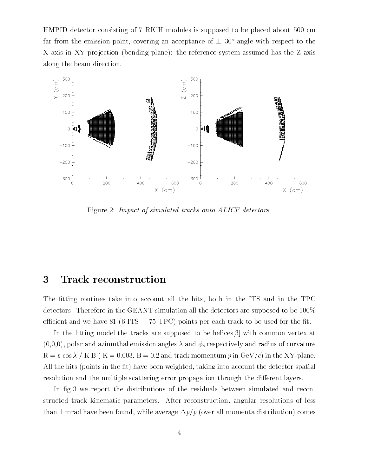HMPID detector consisting of 7 RICH modules is supposed to be placed about 500 cm far from the emission point, covering an acceptance of  $\pm 30^{\circ}$  angle with respect to the X axis in XY projection (bending plane): the reference system assumed has the Z axis along the beam direction.



Figure 2: Impact of simulated tracks onto ALICE detectors.

## 3 Track reconstruction

The fitting routines take into account all the hits, both in the ITS and in the TPC detectors. Therefore in the GEANT simulation all the detectors are supposed to be 100% efficient and we have 81 (6 ITS  $+$  75 TPC) points per each track to be used for the fit.

In the fitting model the tracks are supposed to be helices  $[3]$  with common vertex at  $(0,0,0)$ , polar and azimuthal emission angles  $\lambda$  and  $\phi_o$  respectively and radius of curvature  $R = p \cos \lambda / K B$  (K = 0.003, B = 0.2 and track momentum p in GeV/c) in the XY-plane. All the hits (points in the fit) have been weighted, taking into account the detector spatial resolution and the multiple scattering error propagation through the different layers.

In fig.3 we report the distributions of the residuals between simulated and reconstructed track kinematic parameters. After reconstruction, angular resolutions of less than 1 mrad have been found, while average  $\Delta p/p$  (over all momenta distribution) comes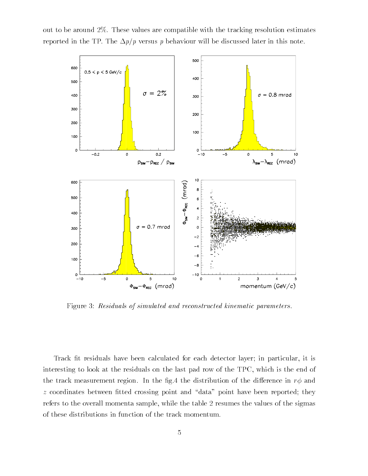out to be around 2%. These values are compatible with the tracking resolution estimates reported in the TP. The  $\Delta p/p$  versus p behaviour will be discussed later in this note.



Figure 3: Residuals of simulated and reconstructed kinematic parameters.

Track fit residuals have been calculated for each detector layer; in particular, it is interesting to look at the residuals on the last pad row of the TPC, which is the end of the track measurement region. In the fig.4 the distribution of the difference in  $r\phi$  and  $z$  coordinates between fitted crossing point and "data" point have been reported; they refers to the overall momenta sample, while the table 2 resumes the values of the sigmas of these distributions in function of the track momentum.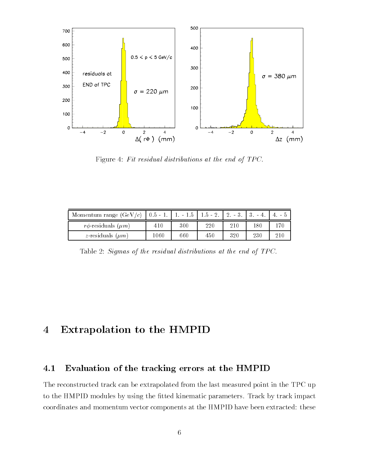

Figure 4: Fit residual distributions at the end of TPC.

| Momentum range $(GeV/c)$   0.5 - 1. |          |     | $1. - 1.5$   $1.5 - 2.$   $2. - 3.$ |     |     |     |
|-------------------------------------|----------|-----|-------------------------------------|-----|-----|-----|
| $r\phi$ -residuals $(\mu m)$        | 410      | 300 | 220                                 | 210 | 180 | 170 |
| <i>z</i> -residuals $(\mu m)$       | $1060\,$ | 660 | 450                                 | 320 | 230 | 210 |

Table 2: Sigmas of the residual distributions at the end of TPC.

# 4 Extrapolation to the HMPID

## 4.1 Evaluation of the tracking errors at the HMPID

The reconstructed track can be extrapolated from the last measured point in the TPC up to the HMPID modules by using the fitted kinematic parameters. Track by track impact coordinates and momentum vector components at the HMPID have been extracted: these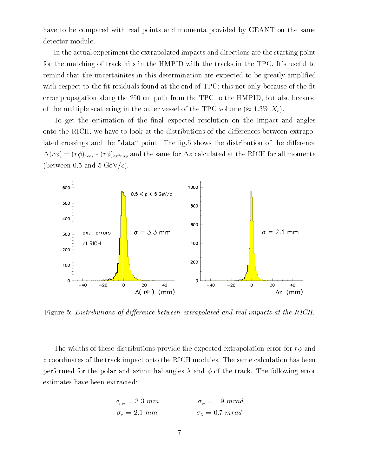have to be compared with real points and momenta provided by GEANT on the same detector module.

In the actual experiment the extrapolated impacts and directions are the starting point for the matching of track hits in the HMPID with the tracks in the TPC. It's useful to remind that the uncertainites in this determination are expected to be greatly amplied with respect to the fit residuals found at the end of  $TPC$ : this not only because of the fit error propagation along the 250 cm path from the TPC to the HMPID, but also because of the multiple scattering in the outer vessel of the TPC volume ( $\approx 1.3\%$  X<sub>o</sub>).

To get the estimation of the final expected resolution on the impact and angles onto the RICH, we have to look at the distributions of the differences between extrapolated crossings and the "data" point. The fig.5 shows the distribution of the difference  $\Delta(r\phi)=(r\phi)_{real}$  -  $(r\phi)_{extrap}$  and the same for  $\Delta z$  calculated at the RICH for all momenta (between 0.5 and 5 GeV/c).



Figure 5: Distributions of difference between extrapolated and real impacts at the RICH.

The widths of these distributions provide the expected extrapolation error for  $r\phi$  and <sup>z</sup> coordinates of the track impact onto the RICH modules. The same calculation has been performed for the polar and azimuthal angles  $\lambda$  and  $\phi$  of the track. The following error estimates have been extracted:

$$
\sigma_{r\phi} = 3.3 \, mm \qquad \qquad \sigma_{\phi} = 1.9 \, mrad
$$

$$
\sigma_z = 2.1 \, mm \qquad \qquad \sigma_{\lambda} = 0.7 \, mrad
$$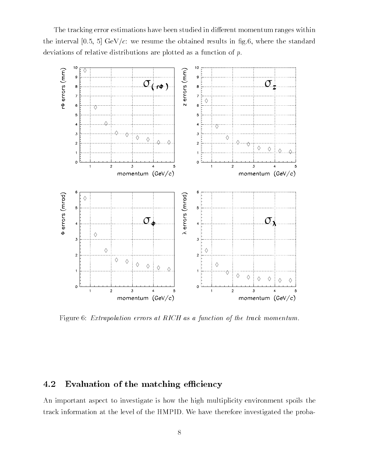The tracking error estimations have been studied in different momentum ranges within the interval [0.5, 5] GeV/ $c$ : we resume the obtained results in fig.6, where the standard deviations of relative distributions are plotted as a function of p.



Figure 6: Extrapolation errors at RICH as a function of the track momentum.

## 4.2 Evaluation of the matching efficiency

An important aspect to investigate is how the high multiplicity environment spoils the track information at the level of the HMPID. We have therefore investigated the proba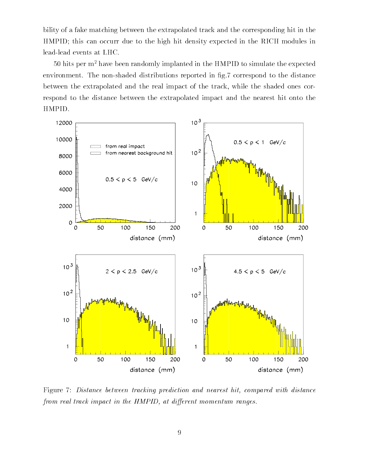bility of a fake matching between the extrapolated track and the corresponding hit in the HMPID; this can occurr due to the high hit density expected in the RICH modules in lead-lead events at LHC.

50 hits per m2 have been randomly implanted in the HMPID to simulate the expected environment. The non-shaded distributions reported in fig.7 correspond to the distance between the extrapolated and the real impact of the track, while the shaded ones correspond to the distance between the extrapolated impact and the nearest hit onto the HMPID.



Figure 7: Distance between tracking prediction and nearest hit, compared with distance from real track impact in the HMPID, at different momentum ranges.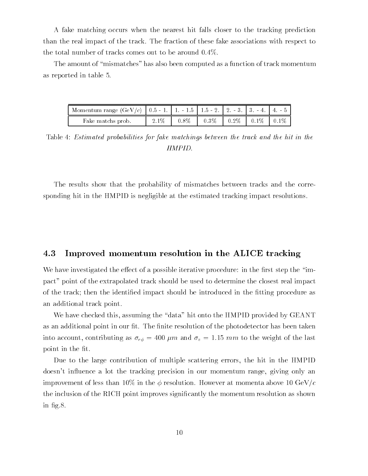A fake matching occurs when the nearest hit falls closer to the tracking prediction than the real impact of the track. The fraction of these fake associations with respect to the total number of tracks comes out to be around 0.4%.

The amount of "mismatches" has also been computed as a function of track momentum as reported in table 5.

| Momentum range (GeV/c)   0.5 - 1.   1. - 1.5   1.5 - 2.   2. - 3.   3. - 4.   4. - 5 |       |         |                                 |  |
|--------------------------------------------------------------------------------------|-------|---------|---------------------------------|--|
| Fake matchs prob.                                                                    | 2.1\% | $0.8\%$ | $0.3\%$   0.2\%   0.1\%   0.1\% |  |

Table 4: Estimated probabilities for fake matchings between the track and the hit in the HMPID.

The results show that the probability of mismatches between tracks and the corresponding hit in the HMPID is negligible at the estimated tracking impact resolutions.

#### 4.3 Improved momentum resolution in the ALICE tracking

We have investigated the effect of a possible iterative procedure: in the first step the "impact" point of the extrapolated track should be used to determine the closest real impact of the track; then the identified impact should be introduced in the fitting procedure as an additional track point.

We have checked this, assuming the "data" hit onto the HMPID provided by GEANT as an additional point in our fit. The finite resolution of the photodetector has been taken into account, contributing as  $\sigma_{r\phi} = 400 \ \mu m$  and  $\sigma_z = 1.15 \ mm$  to the weight of the last point in the fit.

Due to the large contribution of multiple scattering errors, the hit in the HMPID doesn't influence a lot the tracking precision in our momentum range, giving only an improvement of less than 10% in the  $\phi$  resolution. However at momenta above 10 GeV/c the inclusion of the RICH point improves signicantly the momentum resolution as shown in fig.8.